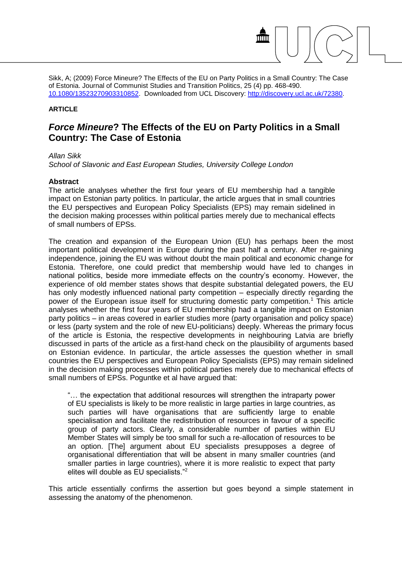Sikk, A; (2009) Force Mineure? The Effects of the EU on Party Politics in a Small Country: The Case of Estonia. Journal of Communist Studies and Transition Politics, 25 (4) pp. 468-490. [10.1080/13523270903310852.](http://dx.doi.org/10.1080/13523270903310852) Downloaded from UCL Discovery: [http://discovery.ucl.ac.uk/72380.](http://discovery.ucl.ac.uk/72380)

#### **ARTICLE**

# *Force Mineure***? The Effects of the EU on Party Politics in a Small Country: The Case of Estonia**

#### *Allan Sikk*

*School of Slavonic and East European Studies, University College London*

#### **Abstract**

The article analyses whether the first four years of EU membership had a tangible impact on Estonian party politics. In particular, the article argues that in small countries the EU perspectives and European Policy Specialists (EPS) may remain sidelined in the decision making processes within political parties merely due to mechanical effects of small numbers of EPSs.

The creation and expansion of the European Union (EU) has perhaps been the most important political development in Europe during the past half a century. After re-gaining independence, joining the EU was without doubt the main political and economic change for Estonia. Therefore, one could predict that membership would have led to changes in national politics, beside more immediate effects on the country's economy. However, the experience of old member states shows that despite substantial delegated powers, the EU has only modestly influenced national party competition – especially directly regarding the power of the European issue itself for structuring domestic party competition.<sup>1</sup> This article analyses whether the first four years of EU membership had a tangible impact on Estonian party politics – in areas covered in earlier studies more (party organisation and policy space) or less (party system and the role of new EU-politicians) deeply. Whereas the primary focus of the article is Estonia, the respective developments in neighbouring Latvia are briefly discussed in parts of the article as a first-hand check on the plausibility of arguments based on Estonian evidence. In particular, the article assesses the question whether in small countries the EU perspectives and European Policy Specialists (EPS) may remain sidelined in the decision making processes within political parties merely due to mechanical effects of small numbers of EPSs. Poguntke et al have argued that:

"… the expectation that additional resources will strengthen the intraparty power of EU specialists is likely to be more realistic in large parties in large countries, as such parties will have organisations that are sufficiently large to enable specialisation and facilitate the redistribution of resources in favour of a specific group of party actors. Clearly, a considerable number of parties within EU Member States will simply be too small for such a re-allocation of resources to be an option. [The] argument about EU specialists presupposes a degree of organisational differentiation that will be absent in many smaller countries (and smaller parties in large countries), where it is more realistic to expect that party elites will double as EU specialists."<sup>2</sup>

This article essentially confirms the assertion but goes beyond a simple statement in assessing the anatomy of the phenomenon.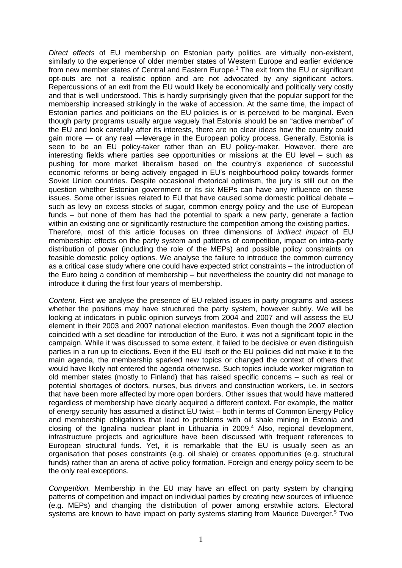*Direct effects* of EU membership on Estonian party politics are virtually non-existent, similarly to the experience of older member states of Western Europe and earlier evidence from new member states of Central and Eastern Europe.<sup>3</sup> The exit from the EU or significant opt-outs are not a realistic option and are not advocated by any significant actors. Repercussions of an exit from the EU would likely be economically and politically very costly and that is well understood. This is hardly surprisingly given that the popular support for the membership increased strikingly in the wake of accession. At the same time, the impact of Estonian parties and politicians on the EU policies is or is perceived to be marginal. Even though party programs usually argue vaguely that Estonia should be an "active member" of the EU and look carefully after its interests, there are no clear ideas how the country could gain more — or any real —leverage in the European policy process. Generally, Estonia is seen to be an EU policy-taker rather than an EU policy-maker. However, there are interesting fields where parties see opportunities or missions at the EU level – such as pushing for more market liberalism based on the country's experience of successful economic reforms or being actively engaged in EU's neighbourhood policy towards former Soviet Union countries. Despite occasional rhetorical optimism, the jury is still out on the question whether Estonian government or its six MEPs can have any influence on these issues. Some other issues related to EU that have caused some domestic political debate – such as levy on excess stocks of sugar, common energy policy and the use of European funds – but none of them has had the potential to spark a new party, generate a faction within an existing one or significantly restructure the competition among the existing parties. Therefore, most of this article focuses on three dimensions of *indirect impact* of EU membership: effects on the party system and patterns of competition, impact on intra-party distribution of power (including the role of the MEPs) and possible policy constraints on feasible domestic policy options. We analyse the failure to introduce the common currency as a critical case study where one could have expected strict constraints – the introduction of the Euro being a condition of membership – but nevertheless the country did not manage to introduce it during the first four years of membership.

*Content.* First we analyse the presence of EU-related issues in party programs and assess whether the positions may have structured the party system, however subtly. We will be looking at indicators in public opinion surveys from 2004 and 2007 and will assess the EU element in their 2003 and 2007 national election manifestos. Even though the 2007 election coincided with a set deadline for introduction of the Euro, it was not a significant topic in the campaign. While it was discussed to some extent, it failed to be decisive or even distinguish parties in a run up to elections. Even if the EU itself or the EU policies did not make it to the main agenda, the membership sparked new topics or changed the context of others that would have likely not entered the agenda otherwise. Such topics include worker migration to old member states (mostly to Finland) that has raised specific concerns – such as real or potential shortages of doctors, nurses, bus drivers and construction workers, i.e. in sectors that have been more affected by more open borders. Other issues that would have mattered regardless of membership have clearly acquired a different context. For example, the matter of energy security has assumed a distinct EU twist – both in terms of Common Energy Policy and membership obligations that lead to problems with oil shale mining in Estonia and closing of the Ignalina nuclear plant in Lithuania in 2009.<sup>4</sup> Also, regional development, infrastructure projects and agriculture have been discussed with frequent references to European structural funds. Yet, it is remarkable that the EU is usually seen as an organisation that poses constraints (e.g. oil shale) or creates opportunities (e.g. structural funds) rather than an arena of active policy formation. Foreign and energy policy seem to be the only real exceptions.

*Competition.* Membership in the EU may have an effect on party system by changing patterns of competition and impact on individual parties by creating new sources of influence (e.g. MEPs) and changing the distribution of power among erstwhile actors. Electoral systems are known to have impact on party systems starting from Maurice Duverger.<sup>5</sup> Two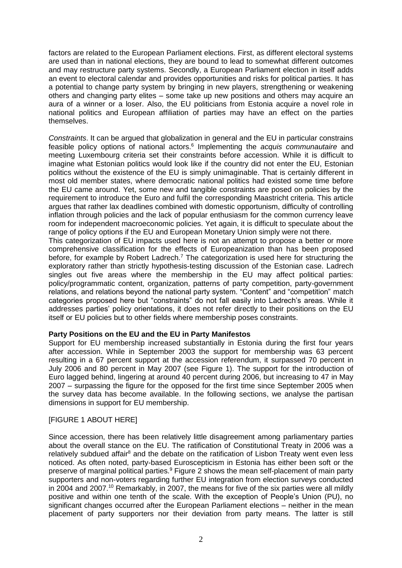factors are related to the European Parliament elections. First, as different electoral systems are used than in national elections, they are bound to lead to somewhat different outcomes and may restructure party systems. Secondly, a European Parliament election in itself adds an event to electoral calendar and provides opportunities and risks for political parties. It has a potential to change party system by bringing in new players, strengthening or weakening others and changing party elites – some take up new positions and others may acquire an aura of a winner or a loser. Also, the EU politicians from Estonia acquire a novel role in national politics and European affiliation of parties may have an effect on the parties themselves.

*Constraints*. It can be argued that globalization in general and the EU in particular constrains feasible policy options of national actors.<sup>6</sup> Implementing the *acquis communautaire* and meeting Luxembourg criteria set their constraints before accession. While it is difficult to imagine what Estonian politics would look like if the country did not enter the EU, Estonian politics without the existence of the EU is simply unimaginable. That is certainly different in most old member states, where democratic national politics had existed some time before the EU came around. Yet, some new and tangible constraints are posed on policies by the requirement to introduce the Euro and fulfil the corresponding Maastricht criteria. This article argues that rather lax deadlines combined with domestic opportunism, difficulty of controlling inflation through policies and the lack of popular enthusiasm for the common currency leave room for independent macroeconomic policies. Yet again, it is difficult to speculate about the range of policy options if the EU and European Monetary Union simply were not there.

This categorization of EU impacts used here is not an attempt to propose a better or more comprehensive classification for the effects of Europeanization than has been proposed before, for example by Robert Ladrech.<sup>7</sup> The categorization is used here for structuring the exploratory rather than strictly hypothesis-testing discussion of the Estonian case. Ladrech singles out five areas where the membership in the EU may affect political parties: policy/programmatic content, organization, patterns of party competition, party-government relations, and relations beyond the national party system. "Content" and "competition" match categories proposed here but "constraints" do not fall easily into Ladrech's areas. While it addresses parties' policy orientations, it does not refer directly to their positions on the EU itself or EU policies but to other fields where membership poses constraints.

# **Party Positions on the EU and the EU in Party Manifestos**

Support for EU membership increased substantially in Estonia during the first four years after accession. While in September 2003 the support for membership was 63 percent resulting in a 67 percent support at the accession referendum, it surpassed 70 percent in July 2006 and 80 percent in May 2007 (see [Figure 1\)](#page-13-0). The support for the introduction of Euro lagged behind, lingering at around 40 percent during 2006, but increasing to 47 in May 2007 – surpassing the figure for the opposed for the first time since September 2005 when the survey data has become available. In the following sections, we analyse the partisan dimensions in support for EU membership.

# [FIGURE 1 ABOUT HERE]

Since accession, there has been relatively little disagreement among parliamentary parties about the overall stance on the EU. The ratification of Constitutional Treaty in 2006 was a relatively subdued affair<sup>8</sup> and the debate on the ratification of Lisbon Treaty went even less noticed. As often noted, party-based Euroscepticism in Estonia has either been soft or the preserve of marginal political parties.<sup>9</sup> [Figure 2](#page-13-1) shows the mean self-placement of main party supporters and non-voters regarding further EU integration from election surveys conducted in 2004 and 2007.<sup>10</sup> Remarkably, in 2007, the means for five of the six parties were all mildly positive and within one tenth of the scale. With the exception of People's Union (PU), no significant changes occurred after the European Parliament elections – neither in the mean placement of party supporters nor their deviation from party means. The latter is still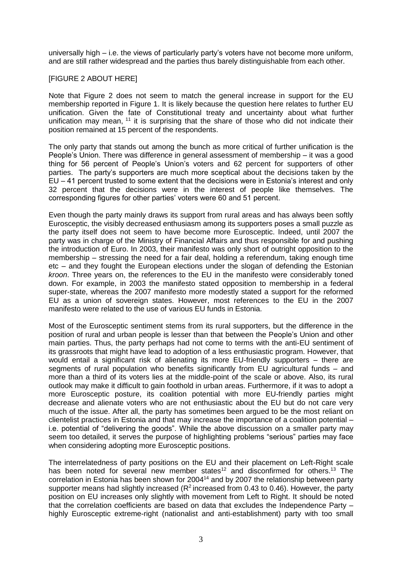universally high – i.e. the views of particularly party's voters have not become more uniform, and are still rather widespread and the parties thus barely distinguishable from each other.

## [FIGURE 2 ABOUT HERE]

Note that [Figure 2](#page-13-1) does not seem to match the general increase in support for the EU membership reported in [Figure 1.](#page-13-0) It is likely because the question here relates to further EU unification. Given the fate of Constitutional treaty and uncertainty about what further unification may mean, <sup>11</sup> it is surprising that the share of those who did not indicate their position remained at 15 percent of the respondents.

The only party that stands out among the bunch as more critical of further unification is the People's Union. There was difference in general assessment of membership – it was a good thing for 56 percent of People's Union's voters and 62 percent for supporters of other parties. The party's supporters are much more sceptical about the decisions taken by the EU – 41 percent trusted to some extent that the decisions were in Estonia's interest and only 32 percent that the decisions were in the interest of people like themselves. The corresponding figures for other parties' voters were 60 and 51 percent.

Even though the party mainly draws its support from rural areas and has always been softly Eurosceptic, the visibly decreased enthusiasm among its supporters poses a small puzzle as the party itself does not seem to have become more Eurosceptic. Indeed, until 2007 the party was in charge of the Ministry of Financial Affairs and thus responsible for and pushing the introduction of Euro. In 2003, their manifesto was only short of outright opposition to the membership – stressing the need for a fair deal, holding a referendum, taking enough time etc – and they fought the European elections under the slogan of defending the Estonian *kroon*. Three years on, the references to the EU in the manifesto were considerably toned down. For example, in 2003 the manifesto stated opposition to membership in a federal super-state, whereas the 2007 manifesto more modestly stated a support for the reformed EU as a union of sovereign states. However, most references to the EU in the 2007 manifesto were related to the use of various EU funds in Estonia.

Most of the Eurosceptic sentiment stems from its rural supporters, but the difference in the position of rural and urban people is lesser than that between the People's Union and other main parties. Thus, the party perhaps had not come to terms with the anti-EU sentiment of its grassroots that might have lead to adoption of a less enthusiastic program. However, that would entail a significant risk of alienating its more EU-friendly supporters – there are segments of rural population who benefits significantly from EU agricultural funds – and more than a third of its voters lies at the middle-point of the scale or above. Also, its rural outlook may make it difficult to gain foothold in urban areas. Furthermore, if it was to adopt a more Eurosceptic posture, its coalition potential with more EU-friendly parties might decrease and alienate voters who are not enthusiastic about the EU but do not care very much of the issue. After all, the party has sometimes been argued to be the most reliant on clientelist practices in Estonia and that may increase the importance of a coalition potential – i.e. potential of "delivering the goods". While the above discussion on a smaller party may seem too detailed, it serves the purpose of highlighting problems "serious" parties may face when considering adopting more Eurosceptic positions.

The interrelatedness of party positions on the EU and their placement on Left-Right scale has been noted for several new member states<sup>12</sup> and disconfirmed for others.<sup>13</sup> The correlation in Estonia has been shown for 2004<sup>14</sup> and by 2007 the relationship between party supporter means had slightly increased ( $R<sup>2</sup>$  increased from 0.43 to 0.46). However, the party position on EU increases only slightly with movement from Left to Right. It should be noted that the correlation coefficients are based on data that excludes the Independence Party – highly Eurosceptic extreme-right (nationalist and anti-establishment) party with too small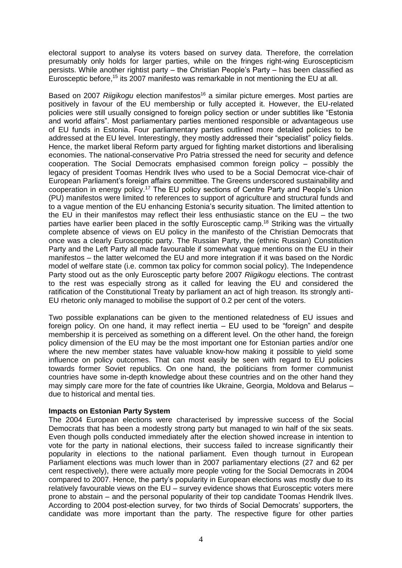electoral support to analyse its voters based on survey data. Therefore, the correlation presumably only holds for larger parties, while on the fringes right-wing Euroscepticism persists. While another rightist party – the Christian People's Party – has been classified as Eurosceptic before,<sup>15</sup> its 2007 manifesto was remarkable in not mentioning the EU at all.

Based on 2007 *Riigikogu* election manifestos<sup>16</sup> a similar picture emerges. Most parties are positively in favour of the EU membership or fully accepted it. However, the EU-related policies were still usually consigned to foreign policy section or under subtitles like "Estonia and world affairs". Most parliamentary parties mentioned responsible or advantageous use of EU funds in Estonia. Four parliamentary parties outlined more detailed policies to be addressed at the EU level. Interestingly, they mostly addressed their "specialist" policy fields. Hence, the market liberal Reform party argued for fighting market distortions and liberalising economies. The national-conservative Pro Patria stressed the need for security and defence cooperation. The Social Democrats emphasised common foreign policy – possibly the legacy of president Toomas Hendrik Ilves who used to be a Social Democrat vice-chair of European Parliament's foreign affairs committee. The Greens underscored sustainability and cooperation in energy policy.<sup>17</sup> The EU policy sections of Centre Party and People's Union (PU) manifestos were limited to references to support of agriculture and structural funds and to a vague mention of the EU enhancing Estonia's security situation. The limited attention to the EU in their manifestos may reflect their less enthusiastic stance on the EU – the two parties have earlier been placed in the softly Eurosceptic camp.<sup>18</sup> Striking was the virtually complete absence of views on EU policy in the manifesto of the Christian Democrats that once was a clearly Eurosceptic party. The Russian Party, the (ethnic Russian) Constitution Party and the Left Party all made favourable if somewhat vague mentions on the EU in their manifestos – the latter welcomed the EU and more integration if it was based on the Nordic model of welfare state (i.e. common tax policy for common social policy). The Independence Party stood out as the only Eurosceptic party before 2007 *Riigikogu* elections. The contrast to the rest was especially strong as it called for leaving the EU and considered the ratification of the Constitutional Treaty by parliament an act of high treason. Its strongly anti-EU rhetoric only managed to mobilise the support of 0.2 per cent of the voters.

Two possible explanations can be given to the mentioned relatedness of EU issues and foreign policy. On one hand, it may reflect inertia – EU used to be "foreign" and despite membership it is perceived as something on a different level. On the other hand, the foreign policy dimension of the EU may be the most important one for Estonian parties and/or one where the new member states have valuable know-how making it possible to yield some influence on policy outcomes. That can most easily be seen with regard to EU policies towards former Soviet republics. On one hand, the politicians from former communist countries have some in-depth knowledge about these countries and on the other hand they may simply care more for the fate of countries like Ukraine, Georgia, Moldova and Belarus – due to historical and mental ties.

# **Impacts on Estonian Party System**

The 2004 European elections were characterised by impressive success of the Social Democrats that has been a modestly strong party but managed to win half of the six seats. Even though polls conducted immediately after the election showed increase in intention to vote for the party in national elections, their success failed to increase significantly their popularity in elections to the national parliament. Even though turnout in European Parliament elections was much lower than in 2007 parliamentary elections (27 and 62 per cent respectively), there were actually more people voting for the Social Democrats in 2004 compared to 2007. Hence, the party's popularity in European elections was mostly due to its relatively favourable views on the EU – survey evidence shows that Eurosceptic voters mere prone to abstain – and the personal popularity of their top candidate Toomas Hendrik Ilves. According to 2004 post-election survey, for two thirds of Social Democrats' supporters, the candidate was more important than the party. The respective figure for other parties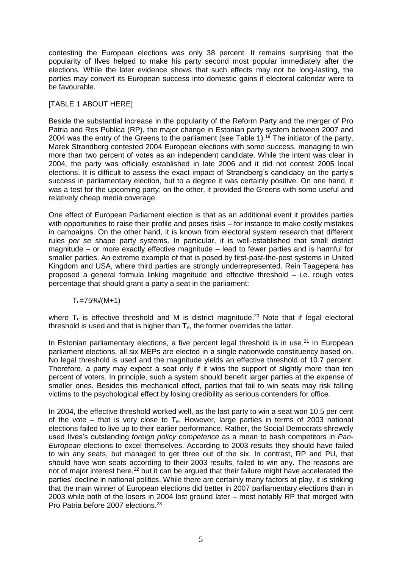contesting the European elections was only 38 percent. It remains surprising that the popularity of Ilves helped to make his party second most popular immediately after the elections. While the later evidence shows that such effects may not be long-lasting, the parties may convert its European success into domestic gains if electoral calendar were to be favourable.

# [TABLE 1 ABOUT HERE]

Beside the substantial increase in the popularity of the Reform Party and the merger of Pro Patria and Res Publica (RP), the major change in Estonian party system between 2007 and 2004 was the entry of the Greens to the parliament (see [Table 1\)](#page-11-0). <sup>19</sup> The initiator of the party, Marek Strandberg contested 2004 European elections with some success, managing to win more than two percent of votes as an independent candidate. While the intent was clear in 2004, the party was officially established in late 2006 and it did not contest 2005 local elections. It is difficult to assess the exact impact of Strandberg's candidacy on the party's success in parliamentary election, but to a degree it was certainly positive. On one hand, it was a test for the upcoming party; on the other, it provided the Greens with some useful and relatively cheap media coverage.

One effect of European Parliament election is that as an additional event it provides parties with opportunities to raise their profile and poses risks – for instance to make costly mistakes in campaigns. On the other hand, it is known from electoral system research that different rules *per se* shape party systems. In particular, it is well-established that small district magnitude – or more exactly effective magnitude – lead to fewer parties and is harmful for smaller parties. An extreme example of that is posed by first-past-the-post systems in United Kingdom and USA, where third parties are strongly underrepresented. Rein Taagepera has proposed a general formula linking magnitude and effective threshold – i.e. rough votes percentage that should grant a party a seat in the parliament:

 $T_e = 75\%/ (M + 1)$ 

where  $T_e$  is effective threshold and M is district magnitude.<sup>20</sup> Note that if legal electoral threshold is used and that is higher than  $T_{e}$ , the former overrides the latter.

In Estonian parliamentary elections, a five percent legal threshold is in use.<sup>21</sup> In European parliament elections, all six MEPs are elected in a single nationwide constituency based on. No legal threshold is used and the magnitude yields an effective threshold of 10.7 percent. Therefore, a party may expect a seat only if it wins the support of slightly more than ten percent of voters. In principle, such a system should benefit larger parties at the expense of smaller ones. Besides this mechanical effect, parties that fail to win seats may risk falling victims to the psychological effect by losing credibility as serious contenders for office.

In 2004, the effective threshold worked well, as the last party to win a seat won 10.5 per cent of the vote – that is very close to  $T_e$ . However, large parties in terms of 2003 national elections failed to live up to their earlier performance. Rather, the Social Democrats shrewdly used Ilves's outstanding *foreign policy competence* as a mean to bash competitors in *Pan-European* elections to excel themselves. According to 2003 results they should have failed to win any seats, but managed to get three out of the six. In contrast, RP and PU, that should have won seats according to their 2003 results, failed to win any. The reasons are not of major interest here,<sup>22</sup> but it can be argued that their failure might have accelerated the parties' decline in national politics. While there are certainly many factors at play, it is striking that the main winner of European elections did better in 2007 parliamentary elections than in 2003 while both of the losers in 2004 lost ground later – most notably RP that merged with Pro Patria before 2007 elections.<sup>23</sup>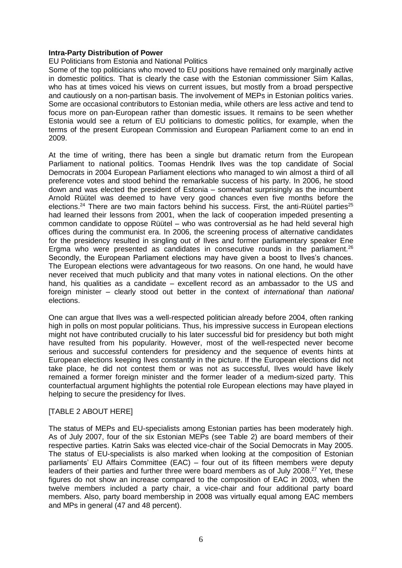#### **Intra-Party Distribution of Power**

#### EU Politicians from Estonia and National Politics

Some of the top politicians who moved to EU positions have remained only marginally active in domestic politics. That is clearly the case with the Estonian commissioner Siim Kallas, who has at times voiced his views on current issues, but mostly from a broad perspective and cautiously on a non-partisan basis. The involvement of MEPs in Estonian politics varies. Some are occasional contributors to Estonian media, while others are less active and tend to focus more on pan-European rather than domestic issues. It remains to be seen whether Estonia would see a return of EU politicians to domestic politics, for example, when the terms of the present European Commission and European Parliament come to an end in 2009.

At the time of writing, there has been a single but dramatic return from the European Parliament to national politics. Toomas Hendrik Ilves was the top candidate of Social Democrats in 2004 European Parliament elections who managed to win almost a third of all preference votes and stood behind the remarkable success of his party. In 2006, he stood down and was elected the president of Estonia – somewhat surprisingly as the incumbent Arnold Rüütel was deemed to have very good chances even five months before the elections.<sup>24</sup> There are two main factors behind his success. First, the anti-Rüütel parties<sup>25</sup> had learned their lessons from 2001, when the lack of cooperation impeded presenting a common candidate to oppose Rüütel – who was controversial as he had held several high offices during the communist era. In 2006, the screening process of alternative candidates for the presidency resulted in singling out of Ilves and former parliamentary speaker Ene Ergma who were presented as candidates in consecutive rounds in the parliament.<sup>26</sup> Secondly, the European Parliament elections may have given a boost to Ilves's chances. The European elections were advantageous for two reasons. On one hand, he would have never received that much publicity and that many votes in national elections. On the other hand, his qualities as a candidate – excellent record as an ambassador to the US and foreign minister – clearly stood out better in the context of *international* than *national* elections.

One can argue that Ilves was a well-respected politician already before 2004, often ranking high in polls on most popular politicians. Thus, his impressive success in European elections might not have contributed crucially to his later successful bid for presidency but both might have resulted from his popularity. However, most of the well-respected never become serious and successful contenders for presidency and the sequence of events hints at European elections keeping Ilves constantly in the picture. If the European elections did not take place, he did not contest them or was not as successful, Ilves would have likely remained a former foreign minister and the former leader of a medium-sized party. This counterfactual argument highlights the potential role European elections may have played in helping to secure the presidency for Ilves.

# [TABLE 2 ABOUT HERE]

The status of MEPs and EU-specialists among Estonian parties has been moderately high. As of July 2007, four of the six Estonian MEPs (see [Table 2\)](#page-12-0) are board members of their respective parties. Katrin Saks was elected vice-chair of the Social Democrats in May 2005. The status of EU-specialists is also marked when looking at the composition of Estonian parliaments' EU Affairs Committee (EAC) – four out of its fifteen members were deputy leaders of their parties and further three were board members as of July 2008.<sup>27</sup> Yet, these figures do not show an increase compared to the composition of EAC in 2003, when the twelve members included a party chair, a vice-chair and four additional party board members. Also, party board membership in 2008 was virtually equal among EAC members and MPs in general (47 and 48 percent).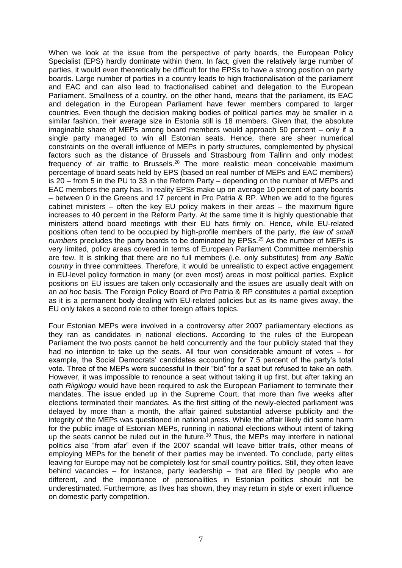When we look at the issue from the perspective of party boards, the European Policy Specialist (EPS) hardly dominate within them. In fact, given the relatively large number of parties, it would even theoretically be difficult for the EPSs to have a strong position on party boards. Large number of parties in a country leads to high fractionalisation of the parliament and EAC and can also lead to fractionalised cabinet and delegation to the European Parliament. Smallness of a country, on the other hand, means that the parliament, its EAC and delegation in the European Parliament have fewer members compared to larger countries. Even though the decision making bodies of political parties may be smaller in a similar fashion, their average size in Estonia still is 18 members. Given that, the absolute imaginable share of MEPs among board members would approach 50 percent – only if a single party managed to win all Estonian seats. Hence, there are sheer numerical constraints on the overall influence of MEPs in party structures, complemented by physical factors such as the distance of Brussels and Strasbourg from Tallinn and only modest frequency of air traffic to Brussels.<sup>28</sup> The more realistic mean conceivable maximum percentage of board seats held by EPS (based on real number of MEPs and EAC members) is 20 – from 5 in the PU to 33 in the Reform Party – depending on the number of MEPs and EAC members the party has. In reality EPSs make up on average 10 percent of party boards – between 0 in the Greens and 17 percent in Pro Patria & RP. When we add to the figures cabinet ministers  $-$  often the key EU policy makers in their areas  $-$  the maximum figure increases to 40 percent in the Reform Party. At the same time it is highly questionable that ministers attend board meetings with their EU hats firmly on. Hence, while EU-related positions often tend to be occupied by high-profile members of the party, *the law of small numbers* precludes the party boards to be dominated by EPSs.<sup>29</sup> As the number of MEPs is very limited, policy areas covered in terms of European Parliament Committee membership are few. It is striking that there are no full members (i.e. only substitutes) from *any Baltic country* in three committees. Therefore, it would be unrealistic to expect active engagement in EU-level policy formation in many (or even most) areas in most political parties. Explicit positions on EU issues are taken only occasionally and the issues are usually dealt with on an *ad hoc* basis. The Foreign Policy Board of Pro Patria & RP constitutes a partial exception as it is a permanent body dealing with EU-related policies but as its name gives away, the EU only takes a second role to other foreign affairs topics.

Four Estonian MEPs were involved in a controversy after 2007 parliamentary elections as they ran as candidates in national elections. According to the rules of the European Parliament the two posts cannot be held concurrently and the four publicly stated that they had no intention to take up the seats. All four won considerable amount of votes – for example, the Social Democrats' candidates accounting for 7.5 percent of the party's total vote. Three of the MEPs were successful in their "bid" for a seat but refused to take an oath. However, it was impossible to renounce a seat without taking it up first, but after taking an oath *Riigikogu* would have been required to ask the European Parliament to terminate their mandates. The issue ended up in the Supreme Court, that more than five weeks after elections terminated their mandates. As the first sitting of the newly-elected parliament was delayed by more than a month, the affair gained substantial adverse publicity and the integrity of the MEPs was questioned in national press. While the affair likely did some harm for the public image of Estonian MEPs, running in national elections without intent of taking up the seats cannot be ruled out in the future. <sup>30</sup> Thus, the MEPs may interfere in national politics also "from afar" even if the 2007 scandal will leave bitter trails, other means of employing MEPs for the benefit of their parties may be invented. To conclude, party elites leaving for Europe may not be completely lost for small country politics. Still, they often leave behind vacancies – for instance, party leadership – that are filled by people who are different, and the importance of personalities in Estonian politics should not be underestimated. Furthermore, as Ilves has shown, they may return in style or exert influence on domestic party competition.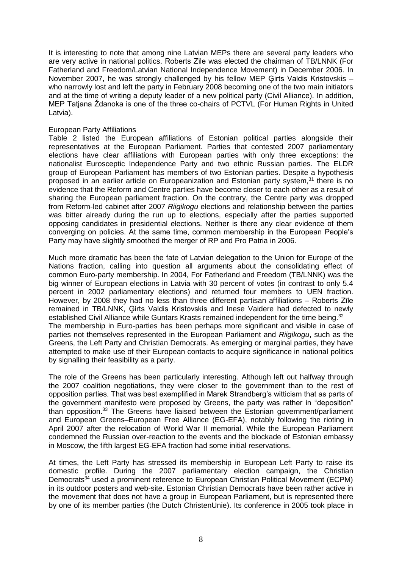It is interesting to note that among nine Latvian MEPs there are several party leaders who are very active in national politics. Roberts Zīle was elected the chairman of TB/LNNK (For Fatherland and Freedom/Latvian National Independence Movement) in December 2006. In November 2007, he was strongly challenged by his fellow MEP Ģirts Valdis Kristovskis – who narrowly lost and left the party in February 2008 becoming one of the two main initiators and at the time of writing a deputy leader of a new political party (Civil Alliance). In addition, MEP Tatjana Ždanoka is one of the three co-chairs of PCTVL (For Human Rights in United Latvia).

#### European Party Affiliations

[Table 2](#page-12-0) listed the European affiliations of Estonian political parties alongside their representatives at the European Parliament. Parties that contested 2007 parliamentary elections have clear affiliations with European parties with only three exceptions: the nationalist Eurosceptic Independence Party and two ethnic Russian parties. The ELDR group of European Parliament has members of two Estonian parties. Despite a hypothesis proposed in an earlier article on Europeanization and Estonian party system,<sup>31</sup> there is no evidence that the Reform and Centre parties have become closer to each other as a result of sharing the European parliament fraction. On the contrary, the Centre party was dropped from Reform-led cabinet after 2007 *Riigikogu* elections and relationship between the parties was bitter already during the run up to elections, especially after the parties supported opposing candidates in presidential elections. Neither is there any clear evidence of them converging on policies. At the same time, common membership in the European People's Party may have slightly smoothed the merger of RP and Pro Patria in 2006.

Much more dramatic has been the fate of Latvian delegation to the Union for Europe of the Nations fraction, calling into question all arguments about the consolidating effect of common Euro-party membership. In 2004, For Fatherland and Freedom (TB/LNNK) was the big winner of European elections in Latvia with 30 percent of votes (in contrast to only 5.4 percent in 2002 parliamentary elections) and returned four members to UEN fraction. However, by 2008 they had no less than three different partisan affiliations – Roberts Zīle remained in TB/LNNK, Ģirts Valdis Kristovskis and Inese Vaidere had defected to newly established Civil Alliance while Guntars Krasts remained independent for the time being.<sup>32</sup> The membership in Euro-parties has been perhaps more significant and visible in case of parties not themselves represented in the European Parliament and *Riigikogu*, such as the Greens, the Left Party and Christian Democrats. As emerging or marginal parties, they have attempted to make use of their European contacts to acquire significance in national politics by signalling their feasibility as a party.

The role of the Greens has been particularly interesting. Although left out halfway through the 2007 coalition negotiations, they were closer to the government than to the rest of opposition parties. That was best exemplified in Marek Strandberg's witticism that as parts of the government manifesto were proposed by Greens, the party was rather in "deposition" than opposition.<sup>33</sup> The Greens have liaised between the Estonian government/parliament and European Greens–European Free Alliance (EG-EFA), notably following the rioting in April 2007 after the relocation of World War II memorial. While the European Parliament condemned the Russian over-reaction to the events and the blockade of Estonian embassy in Moscow, the fifth largest EG-EFA fraction had some initial reservations.

At times, the Left Party has stressed its membership in European Left Party to raise its domestic profile. During the 2007 parliamentary election campaign, the Christian Democrats<sup>34</sup> used a prominent reference to European Christian Political Movement (ECPM) in its outdoor posters and web-site. Estonian Christian Democrats have been rather active in the movement that does not have a group in European Parliament, but is represented there by one of its member parties (the Dutch ChristenUnie). Its conference in 2005 took place in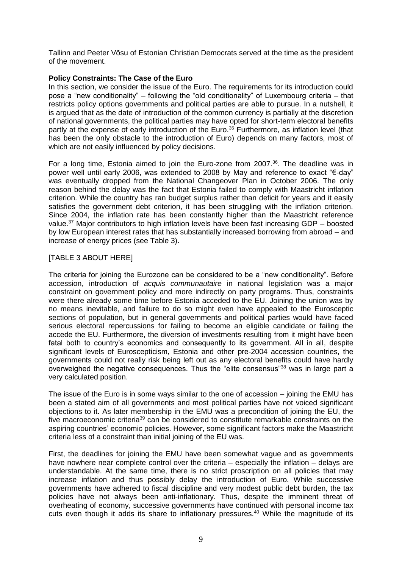Tallinn and Peeter Võsu of Estonian Christian Democrats served at the time as the president of the movement.

# **Policy Constraints: The Case of the Euro**

In this section, we consider the issue of the Euro. The requirements for its introduction could pose a "new conditionality" – following the "old conditionality" of Luxembourg criteria – that restricts policy options governments and political parties are able to pursue. In a nutshell, it is argued that as the date of introduction of the common currency is partially at the discretion of national governments, the political parties may have opted for short-term electoral benefits partly at the expense of early introduction of the Euro.<sup>35</sup> Furthermore, as inflation level (that has been the only obstacle to the introduction of Euro) depends on many factors, most of which are not easily influenced by policy decisions.

For a long time, Estonia aimed to join the Euro-zone from 2007.<sup>36</sup>. The deadline was in power well until early 2006, was extended to 2008 by May and reference to exact "€-day" was eventually dropped from the National Changeover Plan in October 2006. The only reason behind the delay was the fact that Estonia failed to comply with Maastricht inflation criterion. While the country has ran budget surplus rather than deficit for years and it easily satisfies the government debt criterion, it has been struggling with the inflation criterion. Since 2004, the inflation rate has been constantly higher than the Maastricht reference value.<sup>37</sup> Major contributors to high inflation levels have been fast increasing GDP – boosted by low European interest rates that has substantially increased borrowing from abroad – and increase of energy prices (see [Table 3\)](#page-12-1).

#### [TABLE 3 ABOUT HERE]

The criteria for joining the Eurozone can be considered to be a "new conditionality". Before accession, introduction of *acquis communautaire* in national legislation was a major constraint on government policy and more indirectly on party programs. Thus, constraints were there already some time before Estonia acceded to the EU. Joining the union was by no means inevitable, and failure to do so might even have appealed to the Eurosceptic sections of population, but in general governments and political parties would have faced serious electoral repercussions for failing to become an eligible candidate or failing the accede the EU. Furthermore, the diversion of investments resulting from it might have been fatal both to country's economics and consequently to its government. All in all, despite significant levels of Euroscepticism, Estonia and other pre-2004 accession countries, the governments could not really risk being left out as any electoral benefits could have hardly overweighed the negative consequences. Thus the "elite consensus"<sup>38</sup> was in large part a very calculated position.

The issue of the Euro is in some ways similar to the one of accession – joining the EMU has been a stated aim of all governments and most political parties have not voiced significant objections to it. As later membership in the EMU was a precondition of joining the EU, the five macroeconomic criteria<sup>39</sup> can be considered to constitute remarkable constraints on the aspiring countries' economic policies. However, some significant factors make the Maastricht criteria less of a constraint than initial joining of the EU was.

First, the deadlines for joining the EMU have been somewhat vague and as governments have nowhere near complete control over the criteria – especially the inflation – delays are understandable. At the same time, there is no strict proscription on all policies that may increase inflation and thus possibly delay the introduction of Euro. While successive governments have adhered to fiscal discipline and very modest public debt burden, the tax policies have not always been anti-inflationary. Thus, despite the imminent threat of overheating of economy, successive governments have continued with personal income tax cuts even though it adds its share to inflationary pressures.<sup>40</sup> While the magnitude of its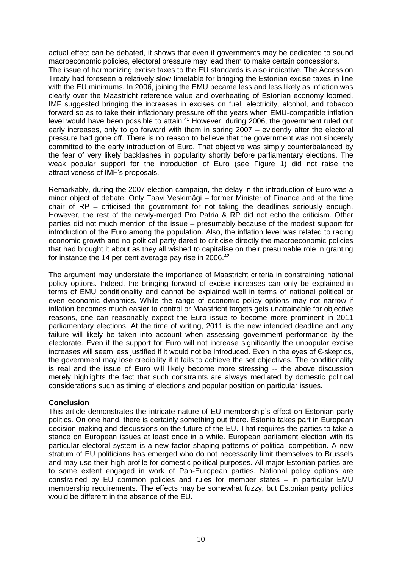actual effect can be debated, it shows that even if governments may be dedicated to sound macroeconomic policies, electoral pressure may lead them to make certain concessions. The issue of harmonizing excise taxes to the EU standards is also indicative. The Accession Treaty had foreseen a relatively slow timetable for bringing the Estonian excise taxes in line with the EU minimums. In 2006, joining the EMU became less and less likely as inflation was clearly over the Maastricht reference value and overheating of Estonian economy loomed, IMF suggested bringing the increases in excises on fuel, electricity, alcohol, and tobacco forward so as to take their inflationary pressure off the years when EMU-compatible inflation level would have been possible to attain.<sup>41</sup> However, during 2006, the government ruled out early increases, only to go forward with them in spring 2007 – evidently after the electoral pressure had gone off. There is no reason to believe that the government was not sincerely committed to the early introduction of Euro. That objective was simply counterbalanced by the fear of very likely backlashes in popularity shortly before parliamentary elections. The weak popular support for the introduction of Euro (see [Figure 1\)](#page-13-0) did not raise the attractiveness of IMF's proposals.

Remarkably, during the 2007 election campaign, the delay in the introduction of Euro was a minor object of debate. Only Taavi Veskimägi – former Minister of Finance and at the time chair of  $RP -$  criticised the government for not taking the deadlines seriously enough. However, the rest of the newly-merged Pro Patria & RP did not echo the criticism. Other parties did not much mention of the issue – presumably because of the modest support for introduction of the Euro among the population. Also, the inflation level was related to racing economic growth and no political party dared to criticise directly the macroeconomic policies that had brought it about as they all wished to capitalise on their presumable role in granting for instance the 14 per cent average pay rise in 2006.<sup>42</sup>

The argument may understate the importance of Maastricht criteria in constraining national policy options. Indeed, the bringing forward of excise increases can only be explained in terms of EMU conditionality and cannot be explained well in terms of national political or even economic dynamics. While the range of economic policy options may not narrow if inflation becomes much easier to control or Maastricht targets gets unattainable for objective reasons, one can reasonably expect the Euro issue to become more prominent in 2011 parliamentary elections. At the time of writing, 2011 is the new intended deadline and any failure will likely be taken into account when assessing government performance by the electorate. Even if the support for Euro will not increase significantly the unpopular excise increases will seem less justified if it would not be introduced. Even in the eyes of €-skeptics, the government may lose credibility if it fails to achieve the set objectives. The conditionality is real and the issue of Euro will likely become more stressing -- the above discussion merely highlights the fact that such constraints are always mediated by domestic political considerations such as timing of elections and popular position on particular issues.

# **Conclusion**

This article demonstrates the intricate nature of EU membership's effect on Estonian party politics. On one hand, there is certainly something out there. Estonia takes part in European decision-making and discussions on the future of the EU. That requires the parties to take a stance on European issues at least once in a while. European parliament election with its particular electoral system is a new factor shaping patterns of political competition. A new stratum of EU politicians has emerged who do not necessarily limit themselves to Brussels and may use their high profile for domestic political purposes. All major Estonian parties are to some extent engaged in work of Pan-European parties. National policy options are constrained by EU common policies and rules for member states – in particular EMU membership requirements. The effects may be somewhat fuzzy, but Estonian party politics would be different in the absence of the EU.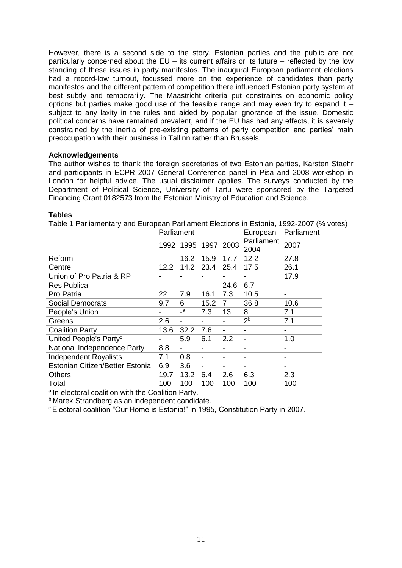However, there is a second side to the story. Estonian parties and the public are not particularly concerned about the EU – its current affairs or its future – reflected by the low standing of these issues in party manifestos. The inaugural European parliament elections had a record-low turnout, focussed more on the experience of candidates than party manifestos and the different pattern of competition there influenced Estonian party system at best subtly and temporarily. The Maastricht criteria put constraints on economic policy options but parties make good use of the feasible range and may even try to expand it  $$ subject to any laxity in the rules and aided by popular ignorance of the issue. Domestic political concerns have remained prevalent, and if the EU has had any effects, it is severely constrained by the inertia of pre-existing patterns of party competition and parties' main preoccupation with their business in Tallinn rather than Brussels.

#### **Acknowledgements**

The author wishes to thank the foreign secretaries of two Estonian parties, Karsten Staehr and participants in ECPR 2007 General Conference panel in Pisa and 2008 workshop in London for helpful advice. The usual disclaimer applies. The surveys conducted by the Department of Political Science, University of Tartu were sponsored by the Targeted Financing Grant 0182573 from the Estonian Ministry of Education and Science.

#### **Tables**

<span id="page-11-0"></span>

| Table 1 Parliamentary and European Parliament Elections in Estonia, 1992-2007 (% votes) |            |              |                 |      |                    |            |  |  |  |  |
|-----------------------------------------------------------------------------------------|------------|--------------|-----------------|------|--------------------|------------|--|--|--|--|
|                                                                                         | Parliament |              |                 |      | European           | Parliament |  |  |  |  |
|                                                                                         |            |              | 1992 1995 1997  | 2003 | Parliament<br>2004 | 2007       |  |  |  |  |
| Reform                                                                                  |            | 16.2         | 15.9            | 17.7 | 12.2               | 27.8       |  |  |  |  |
| Centre                                                                                  | 12.2       | 14.2         | 23.4            | 25.4 | 17.5               | 26.1       |  |  |  |  |
| Union of Pro Patria & RP                                                                |            |              |                 |      |                    | 17.9       |  |  |  |  |
| <b>Res Publica</b>                                                                      |            |              |                 | 24.6 | 6.7                |            |  |  |  |  |
| Pro Patria                                                                              | 22         | 7.9          | 16.1            | 7.3  | 10.5               |            |  |  |  |  |
| <b>Social Democrats</b>                                                                 | 9.7        | 6            | 15.2            | 7    | 36.8               | 10.6       |  |  |  |  |
| People's Union                                                                          |            | $\mathsf{a}$ | 7.3             | 13   | 8                  | 7.1        |  |  |  |  |
| Greens                                                                                  | 2.6        |              |                 |      | 2 <sup>b</sup>     | 7.1        |  |  |  |  |
| <b>Coalition Party</b>                                                                  | 13.6       | 32.2         | 7.6             |      |                    |            |  |  |  |  |
| United People's Party <sup>c</sup>                                                      |            | 5.9          | 6.1             | 2.2  |                    | 1.0        |  |  |  |  |
| National Independence Party                                                             | 8.8        |              |                 |      |                    |            |  |  |  |  |
| <b>Independent Royalists</b>                                                            | 7.1        | 0.8          | $\qquad \qquad$ |      |                    |            |  |  |  |  |
| Estonian Citizen/Better Estonia                                                         | 6.9        | 3.6          | -               |      |                    |            |  |  |  |  |
| Others                                                                                  | 19.7       | 13.2         | 6.4             | 2.6  | 6.3                | 2.3        |  |  |  |  |
| Total                                                                                   | 100        | 100          | 100             | 100  | 100                | 100        |  |  |  |  |

a In electoral coalition with the Coalition Party.

**b** Marek Strandberg as an independent candidate.

<sup>c</sup> Electoral coalition "Our Home is Estonia!" in 1995, Constitution Party in 2007.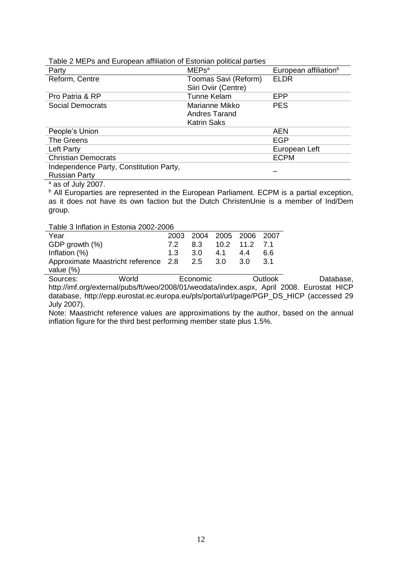<span id="page-12-0"></span>Table 2 MEPs and European affiliation of Estonian political parties

| Party                                   | <b>MEPs<sup>a</sup></b> | European affiliation <sup>b</sup> |  |
|-----------------------------------------|-------------------------|-----------------------------------|--|
| Reform, Centre                          | Toomas Savi (Reform)    | <b>ELDR</b>                       |  |
|                                         | Siiri Oviir (Centre)    |                                   |  |
| Pro Patria & RP                         | <b>Tunne Kelam</b>      | EPP                               |  |
| Social Democrats                        | Marianne Mikko          | <b>PES</b>                        |  |
|                                         | <b>Andres Tarand</b>    |                                   |  |
|                                         | <b>Katrin Saks</b>      |                                   |  |
| People's Union                          |                         | <b>AEN</b>                        |  |
| The Greens                              |                         | EGP                               |  |
| Left Party                              |                         | European Left                     |  |
| <b>Christian Democrats</b>              |                         | <b>ECPM</b>                       |  |
| Independence Party, Constitution Party, |                         |                                   |  |
| <b>Russian Party</b>                    |                         |                                   |  |

 $a$  as of July 2007.

<sup>b</sup> All Europarties are represented in the European Parliament. ECPM is a partial exception, as it does not have its own faction but the Dutch ChristenUnie is a member of Ind/Dem group.

<span id="page-12-1"></span>Table 3 Inflation in Estonia 2002-2006

| Year                                     |     |     | 2003 2004 2005 2006 2007 |     |      |
|------------------------------------------|-----|-----|--------------------------|-----|------|
| GDP growth (%)                           | 7.2 |     | 8.3 10.2 11.2 7.1        |     |      |
| Inflation (%)                            | 1.3 | 3.O | 4.1                      | 4.4 | 6.6  |
| Approximate Maastricht reference 2.8 2.5 |     |     | -3.0                     | 3.O | -3.1 |
| value (%)                                |     |     |                          |     |      |

Sources: World Economic Dutlook Database, http://imf.org/external/pubs/ft/weo/2008/01/weodata/index.aspx, April 2008. Eurostat HICP database, http://epp.eurostat.ec.europa.eu/pls/portal/url/page/PGP\_DS\_HICP (accessed 29 July 2007).

Note: Maastricht reference values are approximations by the author, based on the annual inflation figure for the third best performing member state plus 1.5%.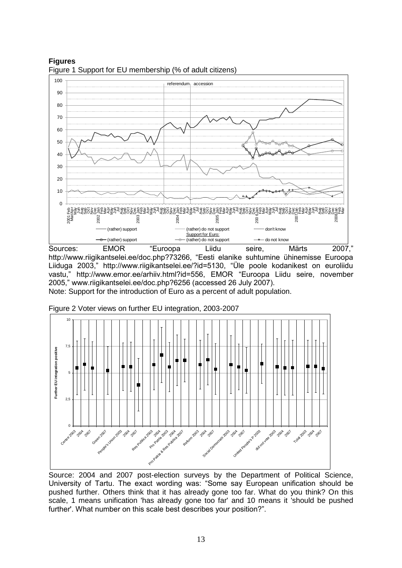<span id="page-13-0"></span>

**Figures** Figure 1 Support for EU membership (% of adult citizens)

Sources: EMOR "Euroopa Liidu seire, Märts 2007," http://www.riigikantselei.ee/doc.php?73266, "Eesti elanike suhtumine ühinemisse Euroopa Liiduga 2003," http://www.riigikantselei.ee/?id=5130, "Üle poole kodanikest on euroliidu vastu," http://www.emor.ee/arhiiv.html?id=556, EMOR "Euroopa Liidu seire, november 2005," www.riigikantselei.ee/doc.php?6256 (accessed 26 July 2007).

Note: Support for the introduction of Euro as a percent of adult population.



<span id="page-13-1"></span>Figure 2 Voter views on further EU integration, 2003-2007

Source: 2004 and 2007 post-election surveys by the Department of Political Science, University of Tartu. The exact wording was: "Some say European unification should be pushed further. Others think that it has already gone too far. What do you think? On this scale, 1 means unification 'has already gone too far' and 10 means it 'should be pushed further'. What number on this scale best describes your position?".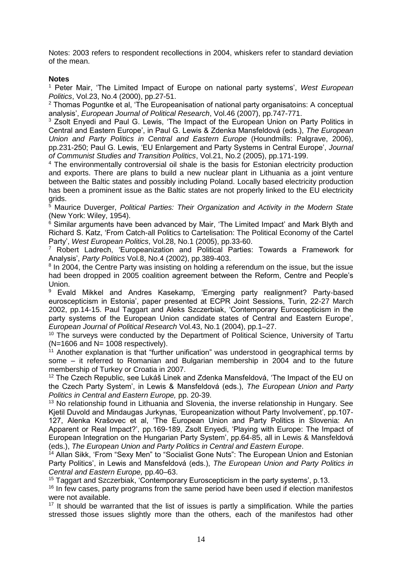Notes: 2003 refers to respondent recollections in 2004, whiskers refer to standard deviation of the mean.

## **Notes**

<sup>1</sup> Peter Mair, 'The Limited Impact of Europe on national party systems', *West European Politics*, Vol.23, No.4 (2000), pp.27-51.

<sup>2</sup> Thomas Poguntke et al, 'The Europeanisation of national party organisatoins: A conceptual analysis', *European Journal of Political Research*, Vol.46 (2007), pp.747-771.

<sup>3</sup> Zsolt Enyedi and Paul G. Lewis, 'The Impact of the European Union on Party Politics in Central and Eastern Europe', in Paul G. Lewis & Zdenka Mansfeldová (eds.), *The European Union and Party Politics in Central and Eastern Europe* (Houndmills: Palgrave, 2006), pp.231-250; Paul G. Lewis, 'EU Enlargement and Party Systems in Central Europe', *Journal of Communist Studies and Transition Politics*, Vol.21, No.2 (2005), pp.171-199.

<sup>4</sup> The environmentally controversial oil shale is the basis for Estonian electricity production and exports. There are plans to build a new nuclear plant in Lithuania as a joint venture between the Baltic states and possibly including Poland. Locally based electricity production has been a prominent issue as the Baltic states are not properly linked to the EU electricity grids.

<sup>5</sup> Maurice Duverger, *Political Parties: Their Organization and Activity in the Modern State* (New York: Wiley, 1954).

<sup>6</sup> Similar arguments have been advanced by Mair, 'The Limited Impact' and Mark Blyth and Richard S. Katz, 'From Catch-all Politics to Cartelisation: The Political Economy of the Cartel Party', *West European Politics*, Vol.28, No.1 (2005), pp.33-60.

<sup>7</sup> Robert Ladrech, 'Europeanization and Political Parties: Towards a Framework for Analysis', *Party Politics* Vol.8, No.4 (2002), pp.389-403.

<sup>8</sup> In 2004, the Centre Party was insisting on holding a referendum on the issue, but the issue had been dropped in 2005 coalition agreement between the Reform, Centre and People's Union.<br><sup>9</sup> Fva

<sup>9</sup> Evald Mikkel and Andres Kasekamp, 'Emerging party realignment? Party-based euroscepticism in Estonia', paper presented at ECPR Joint Sessions, Turin, 22-27 March 2002, pp.14-15. Paul Taggart and Aleks Szczerbiak, 'Contemporary Euroscepticism in the party systems of the European Union candidate states of Central and Eastern Europe', *European Journal of Political Research* Vol.43, No.1 (2004), pp.1–27.

<sup>10</sup> The surveys were conducted by the Department of Political Science, University of Tartu  $(N=1606$  and  $N=1008$  respectively).

 $11$  Another explanation is that "further unification" was understood in geographical terms by some – it referred to Romanian and Bulgarian membership in 2004 and to the future membership of Turkey or Croatia in 2007.

<sup>12</sup> The Czech Republic, see Lukáš Linek and Zdenka Mansfeldová, 'The Impact of the EU on the Czech Party System', in Lewis & Mansfeldová (eds.), *The European Union and Party Politics in Central and Eastern Europe,* pp. 20-39.

<sup>13</sup> No relationship found in Lithuania and Slovenia, the inverse relationship in Hungary. See Kjetil Duvold and Mindaugas Jurkynas, 'Europeanization without Party Involvement', pp.107- 127, Alenka Krašovec et al, 'The European Union and Party Politics in Slovenia: An Apparent or Real Impact?', pp.169-189, Zsolt Enyedi, 'Playing with Europe: The Impact of European Integration on the Hungarian Party System', pp.64-85, all in Lewis & Mansfeldová (eds.), *The European Union and Party Politics in Central and Eastern Europe*.

<sup>14</sup> Allan Sikk, 'From "Sexy Men" to "Socialist Gone Nuts": The European Union and Estonian Party Politics', in Lewis and Mansfeldová (eds.), *The European Union and Party Politics in Central and Eastern Europe,* pp.40–63.

<sup>15</sup> Taggart and Szczerbiak, 'Contemporary Euroscepticism in the party systems', p.13.

<sup>16</sup> In few cases, party programs from the same period have been used if election manifestos were not available.

 $17$  It should be warranted that the list of issues is partly a simplification. While the parties stressed those issues slightly more than the others, each of the manifestos had other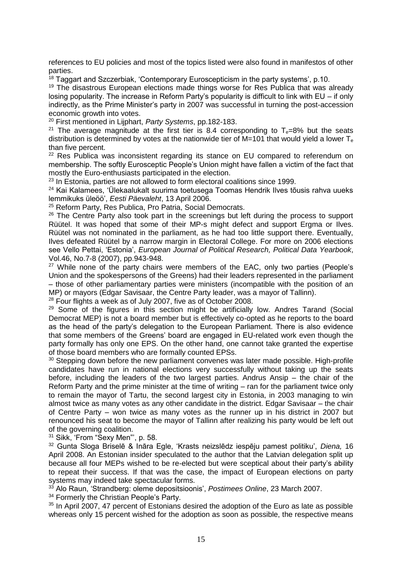references to EU policies and most of the topics listed were also found in manifestos of other parties.

<sup>18</sup> Taggart and Szczerbiak, 'Contemporary Euroscepticism in the party systems', p.10.

<sup>19</sup> The disastrous European elections made things worse for Res Publica that was already losing popularity. The increase in Reform Party's popularity is difficult to link with EU – if only indirectly, as the Prime Minister's party in 2007 was successful in turning the post-accession economic growth into votes.

<sup>20</sup> First mentioned in Lijphart, *Party Systems*, pp.182-183.

<sup>21</sup> The average magnitude at the first tier is 8.4 corresponding to  $T_e=8\%$  but the seats distribution is determined by votes at the nationwide tier of M=101 that would yield a lower  $T_e$ than five percent.

<sup>22</sup> Res Publica was inconsistent regarding its stance on EU compared to referendum on membership. The softly Eurosceptic People's Union might have fallen a victim of the fact that mostly the Euro-enthusiasts participated in the election.

 $^{23}$  In Estonia, parties are not allowed to form electoral coalitions since 1999.

<sup>24</sup> Kai Kalamees, 'Ülekaalukalt suurima toetusega Toomas Hendrik Ilves tõusis rahva uueks lemmikuks üleöö', *Eesti Päevaleht*, 13 April 2006.

<sup>25</sup> Reform Party, Res Publica, Pro Patria, Social Democrats.

<sup>26</sup> The Centre Party also took part in the screenings but left during the process to support Rüütel. It was hoped that some of their MP-s might defect and support Ergma or Ilves. Rüütel was not nominated in the parliament, as he had too little support there. Eventually, Ilves defeated Rüütel by a narrow margin in Electoral College. For more on 2006 elections see Vello Pettai, 'Estonia', *European Journal of Political Research, Political Data Yearbook*, Vol.46, No.7-8 (2007), pp.943-948.

<sup>27</sup> While none of the party chairs were members of the EAC, only two parties (People's Union and the spokespersons of the Greens) had their leaders represented in the parliament – those of other parliamentary parties were ministers (incompatible with the position of an MP) or mayors (Edgar Savisaar, the Centre Party leader, was a mayor of Tallinn).

<sup>28</sup> Four flights a week as of July 2007, five as of October 2008.

<sup>29</sup> Some of the figures in this section might be artificially low. Andres Tarand (Social Democrat MEP) is not a board member but is effectively co-opted as he reports to the board as the head of the party's delegation to the European Parliament. There is also evidence that some members of the Greens' board are engaged in EU-related work even though the party formally has only one EPS. On the other hand, one cannot take granted the expertise of those board members who are formally counted EPSs.

<sup>30</sup> Stepping down before the new parliament convenes was later made possible. High-profile candidates have run in national elections very successfully without taking up the seats before, including the leaders of the two largest parties. Andrus Ansip – the chair of the Reform Party and the prime minister at the time of writing – ran for the parliament twice only to remain the mayor of Tartu, the second largest city in Estonia, in 2003 managing to win almost twice as many votes as any other candidate in the district. Edgar Savisaar – the chair of Centre Party – won twice as many votes as the runner up in his district in 2007 but renounced his seat to become the mayor of Tallinn after realizing his party would be left out of the governing coalition.

<sup>31</sup> Sikk, 'From "Sexy Men"', p. 58.

<sup>32</sup> Gunta Sloga Briselē & Ināra Egle, 'Krasts neizslēdz iespēju pamest politiku', *Diena,* 16 April 2008. An Estonian insider speculated to the author that the Latvian delegation split up because all four MEPs wished to be re-elected but were sceptical about their party's ability to repeat their success. If that was the case, the impact of European elections on party systems may indeed take spectacular forms.

<sup>33</sup> Alo Raun, 'Strandberg: oleme depositsioonis', *Postimees Online*, 23 March 2007.

<sup>34</sup> Formerly the Christian People's Party.

 $35$  In April 2007, 47 percent of Estonians desired the adoption of the Euro as late as possible whereas only 15 percent wished for the adoption as soon as possible, the respective means